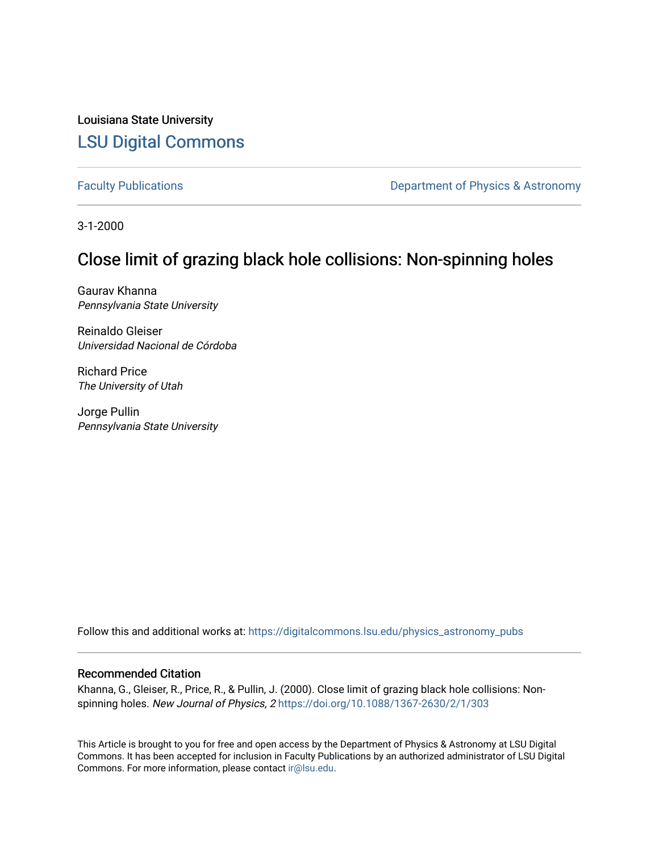Louisiana State University [LSU Digital Commons](https://digitalcommons.lsu.edu/)

[Faculty Publications](https://digitalcommons.lsu.edu/physics_astronomy_pubs) **Exercise 2 and Table 2 and Table 2 and Table 2 and Table 2 and Table 2 and Table 2 and Table 2 and Table 2 and Table 2 and Table 2 and Table 2 and Table 2 and Table 2 and Table 2 and Table 2 and Table** 

3-1-2000

## Close limit of grazing black hole collisions: Non-spinning holes

Gaurav Khanna Pennsylvania State University

Reinaldo Gleiser Universidad Nacional de Córdoba

Richard Price The University of Utah

Jorge Pullin Pennsylvania State University

Follow this and additional works at: [https://digitalcommons.lsu.edu/physics\\_astronomy\\_pubs](https://digitalcommons.lsu.edu/physics_astronomy_pubs?utm_source=digitalcommons.lsu.edu%2Fphysics_astronomy_pubs%2F4412&utm_medium=PDF&utm_campaign=PDFCoverPages) 

#### Recommended Citation

Khanna, G., Gleiser, R., Price, R., & Pullin, J. (2000). Close limit of grazing black hole collisions: Nonspinning holes. New Journal of Physics, 2 <https://doi.org/10.1088/1367-2630/2/1/303>

This Article is brought to you for free and open access by the Department of Physics & Astronomy at LSU Digital Commons. It has been accepted for inclusion in Faculty Publications by an authorized administrator of LSU Digital Commons. For more information, please contact [ir@lsu.edu](mailto:ir@lsu.edu).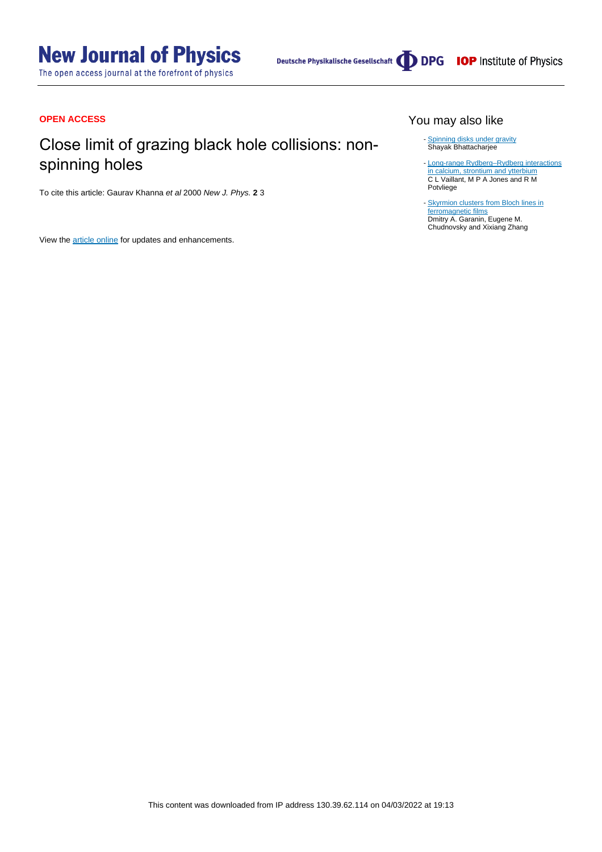# **New Journal of Physics**

The open access journal at the forefront of physics

Deutsche Physikalische Gesellschaft **DDPG** IOP Institute of Physics

#### **OPEN ACCESS**

## Close limit of grazing black hole collisions: nonspinning holes

To cite this article: Gaurav Khanna et al 2000 New J. Phys. **2** 3

View the [article online](https://doi.org/10.1088/1367-2630/2/1/303) for updates and enhancements.

#### You may also like

- [Spinning disks under gravity](/article/10.1209/0295-5075/107/54007) Shayak Bhattacharjee -
- [Long-range Rydberg–Rydberg interactions](/article/10.1088/0953-4075/45/13/135004) [in calcium, strontium and ytterbium](/article/10.1088/0953-4075/45/13/135004) C L Vaillant, M P A Jones and R M Potvliege -
- **[Skyrmion clusters from Bloch lines in](/article/10.1209/0295-5075/120/17005)** [ferromagnetic films](/article/10.1209/0295-5075/120/17005) Dmitry A. Garanin, Eugene M. Chudnovsky and Xixiang Zhang -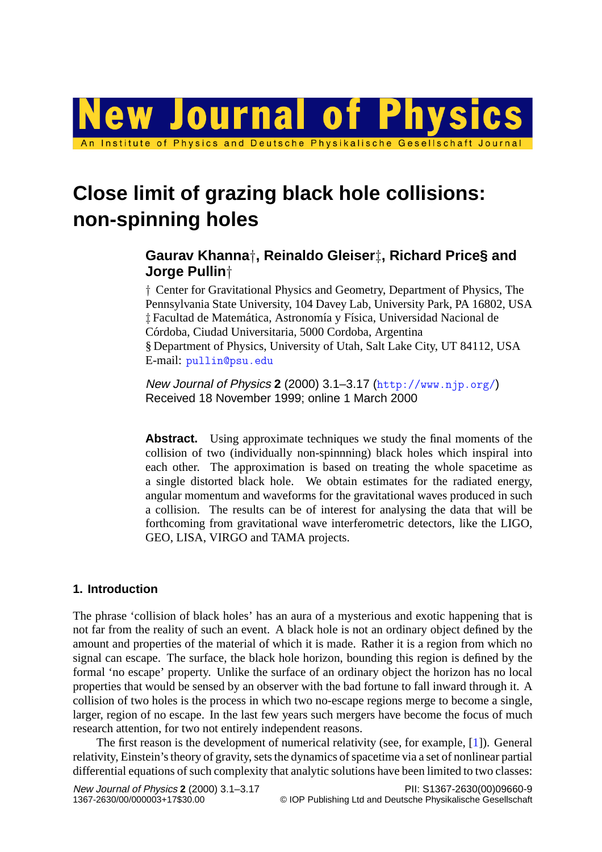# w Journal of An Institute of Physics and Deutsche Physikalische Gesellschaft Journal

# **Close limit of grazing black hole collisions: non-spinning holes**

### **Gaurav Khanna***†***, Reinaldo Gleiser***‡***, Richard Price§ and Jorge Pullin***†*

*†* Center for Gravitational Physics and Geometry, Department of Physics, The Pennsylvania State University, 104 Davey Lab, University Park, PA 16802, USA  $\ddagger$  Facultad de Matemática, Astronomía y Física, Universidad Nacional de Córdoba, Ciudad Universitaria, 5000 Cordoba, Argentina § Department of Physics, University of Utah, Salt Lake City, UT 84112, USA E-mail: [pullin@psu.edu](mailto:pullin@psu.edu)

New Journal of Physics **2** (2000) 3.1–3.17 (<http://www.njp.org/>) Received 18 November 1999; online 1 March 2000

**Abstract.** Using approximate techniques we study the final moments of the collision of two (individually non-spinnning) black holes which inspiral into each other. The approximation is based on treating the whole spacetime as a single distorted black hole. We obtain estimates for the radiated energy, angular momentum and waveforms for the gravitational waves produced in such a collision. The results can be of interest for analysing the data that will be forthcoming from gravitational wave interferometric detectors, like the LIGO, GEO, LISA, VIRGO and TAMA projects.

### **1. Introduction**

The phrase 'collision of black holes' has an aura of a mysterious and exotic happening that is not far from the reality of such an event. A black hole is not an ordinary object defined by the amount and properties of the material of which it is made. Rather it is a region from which no signal can escape. The surface, the black hole horizon, bounding this region is defined by the formal 'no escape' property. Unlike the surface of an ordinary object the horizon has no local properties that would be sensed by an observer with the bad fortune to fall inward through it. A collision of two holes is the process in which two no-escape regions merge to become a single, larger, region of no escape. In the last few years such mergers have become the focus of much research attention, for two not entirely independent reasons.

The first reason is the development of numerical relativity (see, for example, [\[1](#page-18-0)]). General relativity, Einstein's theory of gravity, sets the dynamics of spacetime via a set of nonlinear partial differential equations of such complexity that analytic solutions have been limited to two classes: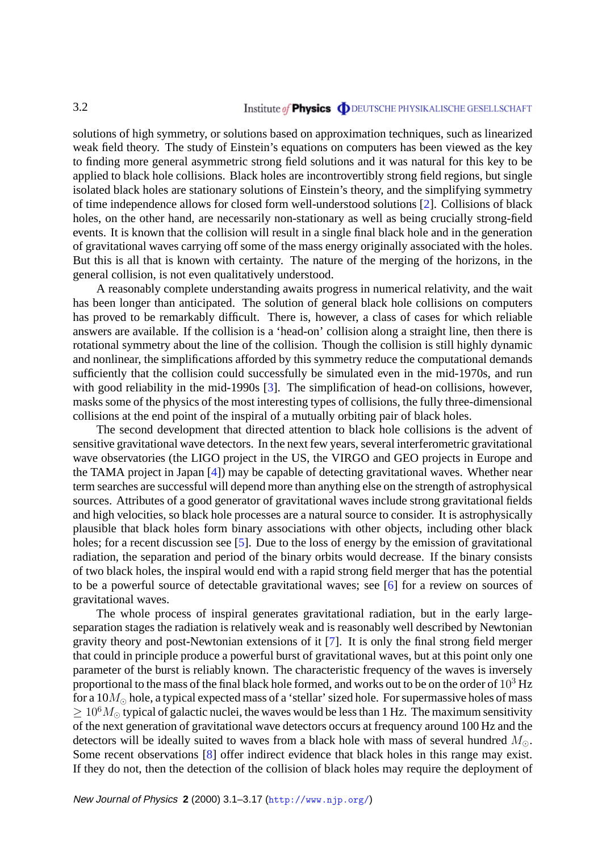solutions of high symmetry, or solutions based on approximation techniques, such as linearized weak field theory. The study of Einstein's equations on computers has been viewed as the key to finding more general asymmetric strong field solutions and it was natural for this key to be applied to black hole collisions. Black holes are incontrovertibly strong field regions, but single isolated black holes are stationary solutions of Einstein's theory, and the simplifying symmetry of time independence allows for closed form well-understood solutions [[2\]](#page-18-0). Collisions of black holes, on the other hand, are necessarily non-stationary as well as being crucially strong-field events. It is known that the collision will result in a single final black hole and in the generation of gravitational waves carrying off some of the mass energy originally associated with the holes. But this is all that is known with certainty. The nature of the merging of the horizons, in the general collision, is not even qualitatively understood.

A reasonably complete understanding awaits progress in numerical relativity, and the wait has been longer than anticipated. The solution of general black hole collisions on computers has proved to be remarkably difficult. There is, however, a class of cases for which reliable answers are available. If the collision is a 'head-on' collision along a straight line, then there is rotational symmetry about the line of the collision. Though the collision is still highly dynamic and nonlinear, the simplifications afforded by this symmetry reduce the computational demands sufficiently that the collision could successfully be simulated even in the mid-1970s, and run with good reliability in the mid-1990s [\[3](#page-18-0)]. The simplification of head-on collisions, however, masks some of the physics of the most interesting types of collisions, the fully three-dimensional collisions at the end point of the inspiral of a mutually orbiting pair of black holes.

The second development that directed attention to black hole collisions is the advent of sensitive gravitational wave detectors. In the next few years, several interferometric gravitational wave observatories (the LIGO project in the US, the VIRGO and GEO projects in Europe and the TAMA project in Japan [[4\]](#page-18-0)) may be capable of detecting gravitational waves. Whether near term searches are successful will depend more than anything else on the strength of astrophysical sources. Attributes of a good generator of gravitational waves include strong gravitational fields and high velocities, so black hole processes are a natural source to consider. It is astrophysically plausible that black holes form binary associations with other objects, including other black holes; for a recent discussion see [[5\]](#page-18-0). Due to the loss of energy by the emission of gravitational radiation, the separation and period of the binary orbits would decrease. If the binary consists of two black holes, the inspiral would end with a rapid strong field merger that has the potential to be a powerful source of detectable gravitational waves; see [\[6](#page-18-0)] for a review on sources of gravitational waves.

The whole process of inspiral generates gravitational radiation, but in the early largeseparation stages the radiation is relatively weak and is reasonably well described by Newtonian gravity theory and post-Newtonian extensions of it [\[7](#page-18-0)]. It is only the final strong field merger that could in principle produce a powerful burst of gravitational waves, but at this point only one parameter of the burst is reliably known. The characteristic frequency of the waves is inversely proportional to the mass of the final black hole formed, and works out to be on the order of  $10^3$  Hz for a  $10M_{\odot}$  hole, a typical expected mass of a 'stellar' sized hole. For supermassive holes of mass  $\geq 10^6 M_{\odot}$  typical of galactic nuclei, the waves would be less than 1 Hz. The maximum sensitivity of the next generation of gravitational wave detectors occurs at frequency around 100 Hz and the detectors will be ideally suited to waves from a black hole with mass of several hundred M. Some recent observations [\[8](#page-18-0)] offer indirect evidence that black holes in this range may exist. If they do not, then the detection of the collision of black holes may require the deployment of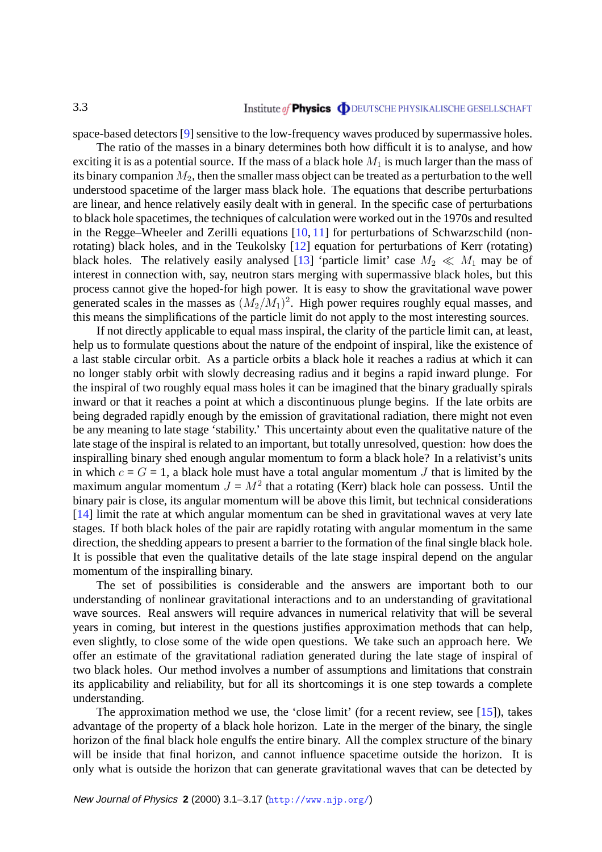space-based detectors [[9\]](#page-18-0) sensitive to the low-frequency waves produced by supermassive holes.

The ratio of the masses in a binary determines both how difficult it is to analyse, and how exciting it is as a potential source. If the mass of a black hole  $M_1$  is much larger than the mass of its binary companion  $M_2$ , then the smaller mass object can be treated as a perturbation to the well understood spacetime of the larger mass black hole. The equations that describe perturbations are linear, and hence relatively easily dealt with in general. In the specific case of perturbations to black hole spacetimes, the techniques of calculation were worked out in the 1970s and resulted in the Regge–Wheeler and Zerilli equations [\[10](#page-18-0), [11](#page-18-0)] for perturbations of Schwarzschild (nonrotating) black holes, and in the Teukolsky [[12\]](#page-18-0) equation for perturbations of Kerr (rotating) black holes. The relatively easily analysed [\[13](#page-18-0)] 'particle limit' case  $M_2 \ll M_1$  may be of interest in connection with, say, neutron stars merging with supermassive black holes, but this process cannot give the hoped-for high power. It is easy to show the gravitational wave power generated scales in the masses as  $(M_2/M_1)^2$ . High power requires roughly equal masses, and this means the simplifications of the particle limit do not apply to the most interesting sources.

If not directly applicable to equal mass inspiral, the clarity of the particle limit can, at least, help us to formulate questions about the nature of the endpoint of inspiral, like the existence of a last stable circular orbit. As a particle orbits a black hole it reaches a radius at which it can no longer stably orbit with slowly decreasing radius and it begins a rapid inward plunge. For the inspiral of two roughly equal mass holes it can be imagined that the binary gradually spirals inward or that it reaches a point at which a discontinuous plunge begins. If the late orbits are being degraded rapidly enough by the emission of gravitational radiation, there might not even be any meaning to late stage 'stability.' This uncertainty about even the qualitative nature of the late stage of the inspiral is related to an important, but totally unresolved, question: how does the inspiralling binary shed enough angular momentum to form a black hole? In a relativist's units in which  $c = G = 1$ , a black hole must have a total angular momentum J that is limited by the maximum angular momentum  $J = M^2$  that a rotating (Kerr) black hole can possess. Until the binary pair is close, its angular momentum will be above this limit, but technical considerations [[14\]](#page-18-0) limit the rate at which angular momentum can be shed in gravitational waves at very late stages. If both black holes of the pair are rapidly rotating with angular momentum in the same direction, the shedding appears to present a barrier to the formation of the final single black hole. It is possible that even the qualitative details of the late stage inspiral depend on the angular momentum of the inspiralling binary.

The set of possibilities is considerable and the answers are important both to our understanding of nonlinear gravitational interactions and to an understanding of gravitational wave sources. Real answers will require advances in numerical relativity that will be several years in coming, but interest in the questions justifies approximation methods that can help, even slightly, to close some of the wide open questions. We take such an approach here. We offer an estimate of the gravitational radiation generated during the late stage of inspiral of two black holes. Our method involves a number of assumptions and limitations that constrain its applicability and reliability, but for all its shortcomings it is one step towards a complete understanding.

The approximation method we use, the 'close limit' (for a recent review, see [\[15](#page-18-0)]), takes advantage of the property of a black hole horizon. Late in the merger of the binary, the single horizon of the final black hole engulfs the entire binary. All the complex structure of the binary will be inside that final horizon, and cannot influence spacetime outside the horizon. It is only what is outside the horizon that can generate gravitational waves that can be detected by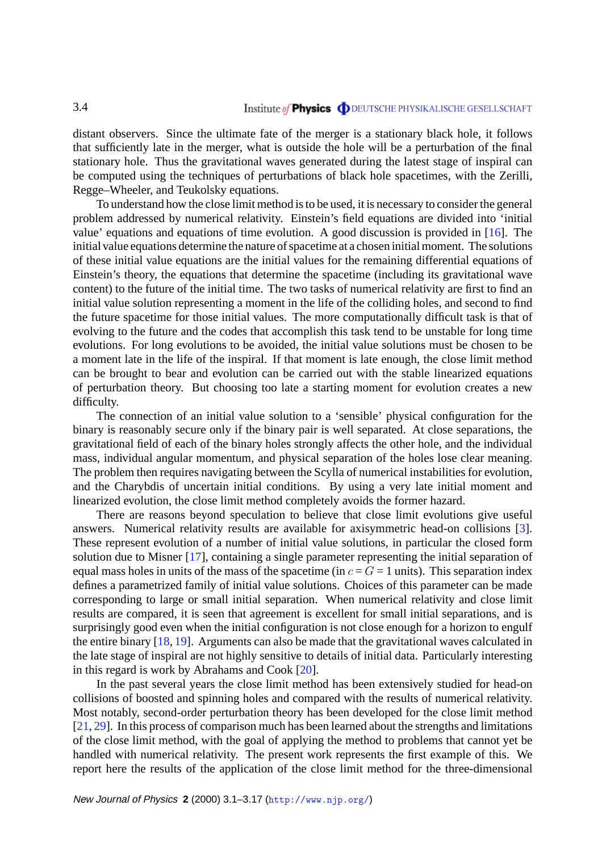distant observers. Since the ultimate fate of the merger is a stationary black hole, it follows that sufficiently late in the merger, what is outside the hole will be a perturbation of the final stationary hole. Thus the gravitational waves generated during the latest stage of inspiral can be computed using the techniques of perturbations of black hole spacetimes, with the Zerilli, Regge–Wheeler, and Teukolsky equations.

To understand how the close limit method is to be used, it is necessary to consider the general problem addressed by numerical relativity. Einstein's field equations are divided into 'initial value' equations and equations of time evolution. A good discussion is provided in [[16\]](#page-18-0). The initial value equations determine the nature of spacetime at a chosen initial moment. The solutions of these initial value equations are the initial values for the remaining differential equations of Einstein's theory, the equations that determine the spacetime (including its gravitational wave content) to the future of the initial time. The two tasks of numerical relativity are first to find an initial value solution representing a moment in the life of the colliding holes, and second to find the future spacetime for those initial values. The more computationally difficult task is that of evolving to the future and the codes that accomplish this task tend to be unstable for long time evolutions. For long evolutions to be avoided, the initial value solutions must be chosen to be a moment late in the life of the inspiral. If that moment is late enough, the close limit method can be brought to bear and evolution can be carried out with the stable linearized equations of perturbation theory. But choosing too late a starting moment for evolution creates a new difficulty.

The connection of an initial value solution to a 'sensible' physical configuration for the binary is reasonably secure only if the binary pair is well separated. At close separations, the gravitational field of each of the binary holes strongly affects the other hole, and the individual mass, individual angular momentum, and physical separation of the holes lose clear meaning. The problem then requires navigating between the Scylla of numerical instabilities for evolution, and the Charybdis of uncertain initial conditions. By using a very late initial moment and linearized evolution, the close limit method completely avoids the former hazard.

There are reasons beyond speculation to believe that close limit evolutions give useful answers. Numerical relativity results are available for axisymmetric head-on collisions [\[3](#page-18-0)]. These represent evolution of a number of initial value solutions, in particular the closed form solution due to Misner [\[17](#page-18-0)], containing a single parameter representing the initial separation of equal mass holes in units of the mass of the spacetime (in  $c = G = 1$  units). This separation index defines a parametrized family of initial value solutions. Choices of this parameter can be made corresponding to large or small initial separation. When numerical relativity and close limit results are compared, it is seen that agreement is excellent for small initial separations, and is surprisingly good even when the initial configuration is not close enough for a horizon to engulf the entire binary [[18,](#page-18-0) [19\]](#page-18-0). Arguments can also be made that the gravitational waves calculated in the late stage of inspiral are not highly sensitive to details of initial data. Particularly interesting in this regard is work by Abrahams and Cook [\[20](#page-18-0)].

In the past several years the close limit method has been extensively studied for head-on collisions of boosted and spinning holes and compared with the results of numerical relativity. Most notably, second-order perturbation theory has been developed for the close limit method [[21,](#page-18-0) [29\]](#page-18-0). In this process of comparison much has been learned about the strengths and limitations of the close limit method, with the goal of applying the method to problems that cannot yet be handled with numerical relativity. The present work represents the first example of this. We report here the results of the application of the close limit method for the three-dimensional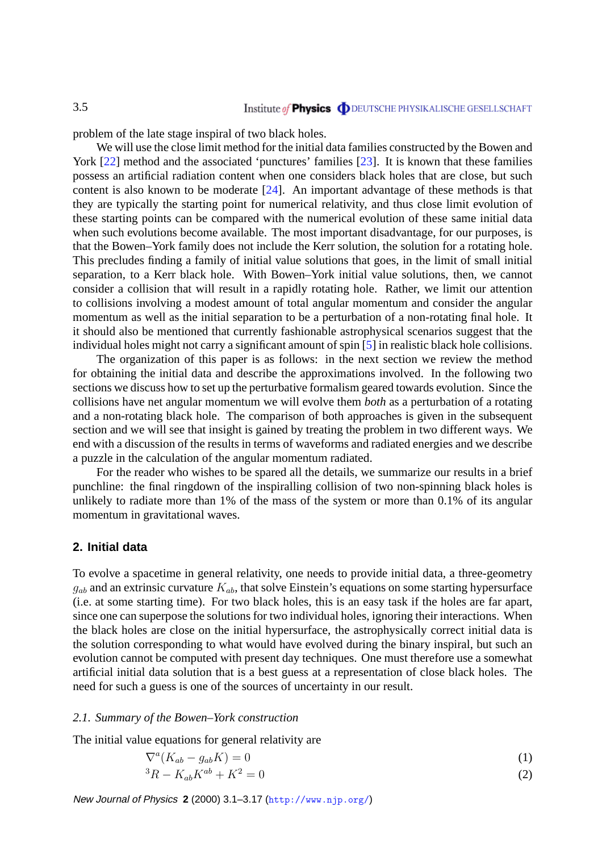<span id="page-6-0"></span>problem of the late stage inspiral of two black holes.

We will use the close limit method for the initial data families constructed by the Bowen and York [[22\]](#page-18-0) method and the associated 'punctures' families [\[23](#page-18-0)]. It is known that these families possess an artificial radiation content when one considers black holes that are close, but such content is also known to be moderate [[24\]](#page-18-0). An important advantage of these methods is that they are typically the starting point for numerical relativity, and thus close limit evolution of these starting points can be compared with the numerical evolution of these same initial data when such evolutions become available. The most important disadvantage, for our purposes, is that the Bowen–York family does not include the Kerr solution, the solution for a rotating hole. This precludes finding a family of initial value solutions that goes, in the limit of small initial separation, to a Kerr black hole. With Bowen–York initial value solutions, then, we cannot consider a collision that will result in a rapidly rotating hole. Rather, we limit our attention to collisions involving a modest amount of total angular momentum and consider the angular momentum as well as the initial separation to be a perturbation of a non-rotating final hole. It it should also be mentioned that currently fashionable astrophysical scenarios suggest that the individual holes might not carry a significant amount of spin [[5\]](#page-18-0) in realistic black hole collisions.

The organization of this paper is as follows: in the next section we review the method for obtaining the initial data and describe the approximations involved. In the following two sections we discuss how to set up the perturbative formalism geared towards evolution. Since the collisions have net angular momentum we will evolve them *both* as a perturbation of a rotating and a non-rotating black hole. The comparison of both approaches is given in the subsequent section and we will see that insight is gained by treating the problem in two different ways. We end with a discussion of the results in terms of waveforms and radiated energies and we describe a puzzle in the calculation of the angular momentum radiated.

For the reader who wishes to be spared all the details, we summarize our results in a brief punchline: the final ringdown of the inspiralling collision of two non-spinning black holes is unlikely to radiate more than 1% of the mass of the system or more than 0.1% of its angular momentum in gravitational waves.

#### **2. Initial data**

To evolve a spacetime in general relativity, one needs to provide initial data, a three-geometry  $g_{ab}$  and an extrinsic curvature  $K_{ab}$ , that solve Einstein's equations on some starting hypersurface (i.e. at some starting time). For two black holes, this is an easy task if the holes are far apart, since one can superpose the solutions for two individual holes, ignoring their interactions. When the black holes are close on the initial hypersurface, the astrophysically correct initial data is the solution corresponding to what would have evolved during the binary inspiral, but such an evolution cannot be computed with present day techniques. One must therefore use a somewhat artificial initial data solution that is a best guess at a representation of close black holes. The need for such a guess is one of the sources of uncertainty in our result.

#### *2.1. Summary of the Bowen–York construction*

The initial value equations for general relativity are

$$
\nabla^{a}(K_{ab} - g_{ab}K) = 0
$$
\n
$$
{}^{3}R - K_{ab}K^{ab} + K^{2} = 0
$$
\n(1)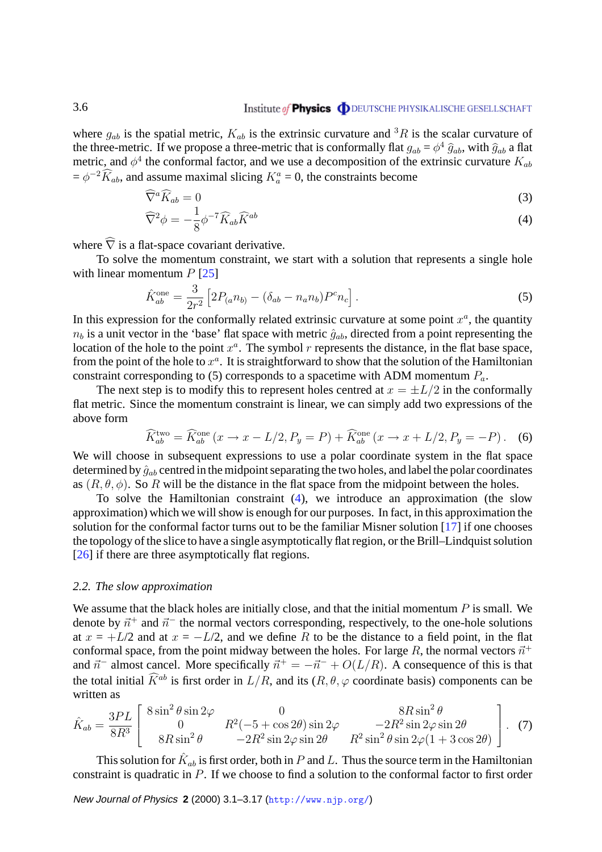where  $g_{ab}$  is the spatial metric,  $K_{ab}$  is the extrinsic curvature and <sup>3</sup>R is the scalar curvature of the three-metric. If we propose a three-metric that is conformally flat  $g_{ab} = \phi^4 \hat{g}_{ab}$ , with  $\hat{g}_{ab}$  a flat metric, and  $\phi^4$  the conformal factor, and we use a decomposition of the extrinsic curvature  $K_{ab}$  $=\phi^{-2}\widehat{K}_{ab}$ , and assume maximal slicing  $K_a^a = 0$ , the constraints become

$$
\widehat{\nabla}^a \widehat{K}_{ab} = 0 \tag{3}
$$

$$
\widehat{\nabla}^2 \phi = -\frac{1}{8} \phi^{-7} \widehat{K}_{ab} \widehat{K}^{ab} \tag{4}
$$

where  $\widehat{\nabla}$  is a flat-space covariant derivative.

To solve the momentum constraint, we start with a solution that represents a single hole with linear momentum  $P$  [\[25](#page-18-0)]

$$
\hat{K}_{ab}^{\text{one}} = \frac{3}{2r^2} \left[ 2P_{(a}n_{b)} - (\delta_{ab} - n_a n_b) P^c n_c \right]. \tag{5}
$$

In this expression for the conformally related extrinsic curvature at some point  $x^a$ , the quantity  $n_b$  is a unit vector in the 'base' flat space with metric  $\hat{g}_{ab}$ , directed from a point representing the location of the hole to the point  $x^a$ . The symbol r represents the distance, in the flat base space, from the point of the hole to  $x^a$ . It is straightforward to show that the solution of the Hamiltonian constraint corresponding to (5) corresponds to a spacetime with ADM momentum  $P_a$ .

The next step is to modify this to represent holes centred at  $x = \pm L/2$  in the conformally flat metric. Since the momentum constraint is linear, we can simply add two expressions of the above form

$$
\widehat{K}_{ab}^{\text{two}} = \widehat{K}_{ab}^{\text{one}} \left( x \to x - L/2, P_y = P \right) + \widehat{K}_{ab}^{\text{one}} \left( x \to x + L/2, P_y = -P \right). \tag{6}
$$

We will choose in subsequent expressions to use a polar coordinate system in the flat space determined by  $\hat{g}_{ab}$  centred in the midpoint separating the two holes, and label the polar coordinates as  $(R, \theta, \phi)$ . So R will be the distance in the flat space from the midpoint between the holes.

To solve the Hamiltonian constraint (4), we introduce an approximation (the slow approximation) which we will show is enough for our purposes. In fact, in this approximation the solution for the conformal factor turns out to be the familiar Misner solution [[17\]](#page-18-0) if one chooses the topology of the slice to have a single asymptotically flat region, or the Brill–Lindquist solution [[26\]](#page-18-0) if there are three asymptotically flat regions.

#### *2.2. The slow approximation*

We assume that the black holes are initially close, and that the initial momentum  $P$  is small. We denote by  $\vec{n}^+$  and  $\vec{n}^-$  the normal vectors corresponding, respectively, to the one-hole solutions at  $x = +L/2$  and at  $x = -L/2$ , and we define R to be the distance to a field point, in the flat conformal space, from the point midway between the holes. For large R, the normal vectors  $\vec{n}^+$ and  $\vec{n}$ <sup>−</sup> almost cancel. More specifically  $\vec{n}$ <sup>+</sup> =  $-\vec{n}$ <sup>−</sup> +  $O(L/R)$ . A consequence of this is that the total initial  $\widetilde{K}^{ab}$  is first order in  $L/R$ , and its  $(R, \theta, \varphi$  coordinate basis) components can be written as

$$
\hat{K}_{ab} = \frac{3PL}{8R^3} \begin{bmatrix} 8\sin^2\theta\sin 2\varphi & 0 & 8R\sin^2\theta \\ 0 & R^2(-5+\cos 2\theta)\sin 2\varphi & -2R^2\sin 2\varphi\sin 2\theta \\ 8R\sin^2\theta & -2R^2\sin 2\varphi\sin 2\theta & R^2\sin^2\theta\sin 2\varphi(1+3\cos 2\theta) \end{bmatrix}.
$$
 (7)

This solution for  $\hat{K}_{ab}$  is first order, both in P and L. Thus the source term in the Hamiltonian constraint is quadratic in P. If we choose to find a solution to the conformal factor to first order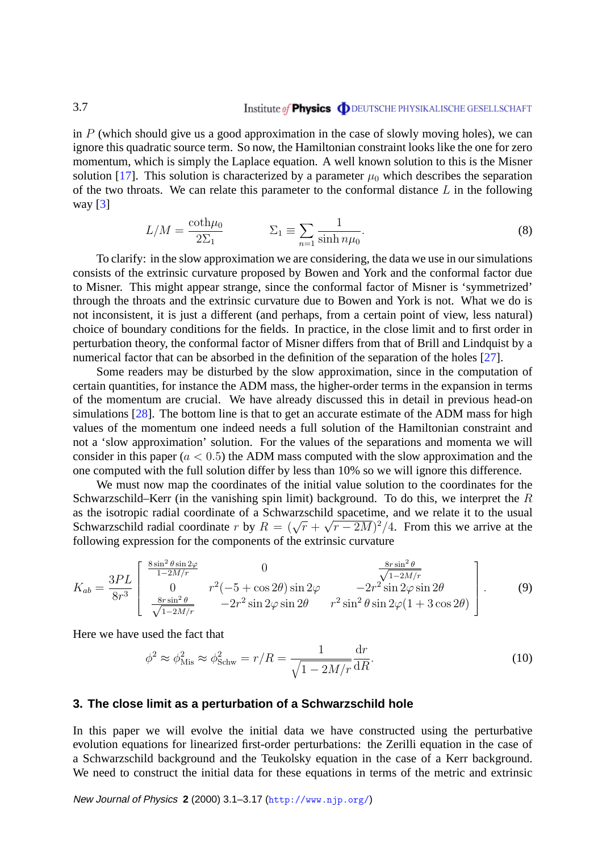in  $P$  (which should give us a good approximation in the case of slowly moving holes), we can ignore this quadratic source term. So now, the Hamiltonian constraint looks like the one for zero momentum, which is simply the Laplace equation. A well known solution to this is the Misner solution [[17\]](#page-18-0). This solution is characterized by a parameter  $\mu_0$  which describes the separation of the two throats. We can relate this parameter to the conformal distance  $L$  in the following way [[3\]](#page-18-0)

$$
L/M = \frac{\coth \mu_0}{2\Sigma_1} \qquad \qquad \Sigma_1 \equiv \sum_{n=1}^{\infty} \frac{1}{\sinh n\mu_0}.
$$
 (8)

To clarify: in the slow approximation we are considering, the data we use in our simulations consists of the extrinsic curvature proposed by Bowen and York and the conformal factor due to Misner. This might appear strange, since the conformal factor of Misner is 'symmetrized' through the throats and the extrinsic curvature due to Bowen and York is not. What we do is not inconsistent, it is just a different (and perhaps, from a certain point of view, less natural) choice of boundary conditions for the fields. In practice, in the close limit and to first order in perturbation theory, the conformal factor of Misner differs from that of Brill and Lindquist by a numerical factor that can be absorbed in the definition of the separation of the holes [[27\]](#page-18-0).

Some readers may be disturbed by the slow approximation, since in the computation of certain quantities, for instance the ADM mass, the higher-order terms in the expansion in terms of the momentum are crucial. We have already discussed this in detail in previous head-on simulations [\[28](#page-18-0)]. The bottom line is that to get an accurate estimate of the ADM mass for high values of the momentum one indeed needs a full solution of the Hamiltonian constraint and not a 'slow approximation' solution. For the values of the separations and momenta we will consider in this paper ( $a < 0.5$ ) the ADM mass computed with the slow approximation and the one computed with the full solution differ by less than 10% so we will ignore this difference.

We must now map the coordinates of the initial value solution to the coordinates for the Schwarzschild–Kerr (in the vanishing spin limit) background. To do this, we interpret the  $R$ as the isotropic radial coordinate of a Schwarzschild spacetime, and we relate it to the usual Schwarzschild radial coordinate r by  $R = (\sqrt{r} + \sqrt{r - 2M})^2/4$ . From this we arrive at the following expression for the components of the extrinsic curvature

$$
K_{ab} = \frac{3PL}{8r^3} \begin{bmatrix} \frac{8\sin^2\theta\sin 2\varphi}{1-2M/r} & 0 & \frac{8r\sin^2\theta}{\sqrt{1-2M/r}}\\ 0 & r^2(-5+\cos 2\theta)\sin 2\varphi & -2r^2\sin 2\varphi\sin 2\theta\\ \frac{8r\sin^2\theta}{\sqrt{1-2M/r}} & -2r^2\sin 2\varphi\sin 2\theta & r^2\sin^2\theta\sin 2\varphi(1+3\cos 2\theta) \end{bmatrix}.
$$
 (9)

Here we have used the fact that

$$
\phi^2 \approx \phi_{\text{Mis}}^2 \approx \phi_{\text{Schw}}^2 = r/R = \frac{1}{\sqrt{1 - 2M/r}} \frac{\mathrm{d}r}{\mathrm{d}R}.
$$
\n(10)

#### **3. The close limit as a perturbation of a Schwarzschild hole**

In this paper we will evolve the initial data we have constructed using the perturbative evolution equations for linearized first-order perturbations: the Zerilli equation in the case of a Schwarzschild background and the Teukolsky equation in the case of a Kerr background. We need to construct the initial data for these equations in terms of the metric and extrinsic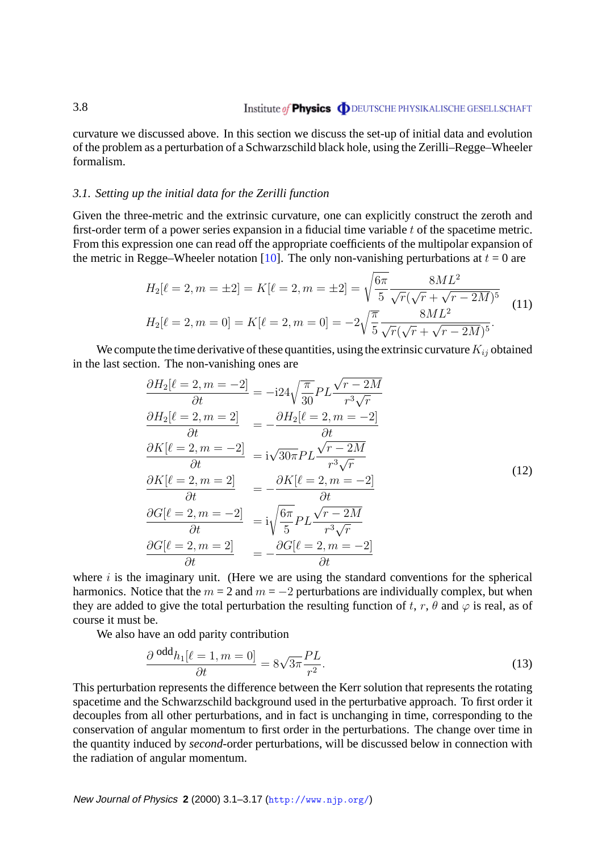curvature we discussed above. In this section we discuss the set-up of initial data and evolution of the problem as a perturbation of a Schwarzschild black hole, using the Zerilli–Regge–Wheeler formalism.

#### *3.1. Setting up the initial data for the Zerilli function*

Given the three-metric and the extrinsic curvature, one can explicitly construct the zeroth and first-order term of a power series expansion in a fiducial time variable  $t$  of the spacetime metric. From this expression one can read off the appropriate coefficients of the multipolar expansion of the metric in Regge–Wheeler notation [\[10](#page-18-0)]. The only non-vanishing perturbations at  $t = 0$  are

$$
H_2[\ell=2, m=\pm 2] = K[\ell=2, m=\pm 2] = \sqrt{\frac{6\pi}{5}} \frac{8ML^2}{\sqrt{r}(\sqrt{r} + \sqrt{r - 2M})^5}
$$
  
\n
$$
H_2[\ell=2, m=0] = K[\ell=2, m=0] = -2\sqrt{\frac{\pi}{5}} \frac{8ML^2}{\sqrt{r}(\sqrt{r} + \sqrt{r - 2M})^5}.
$$
\n(11)

We compute the time derivative of these quantities, using the extrinsic curvature  $K_{ij}$  obtained in the last section. The non-vanishing ones are

$$
\frac{\partial H_2[\ell=2, m=-2]}{\partial t} = -i24\sqrt{\frac{\pi}{30}}PL\frac{\sqrt{r-2M}}{r^3\sqrt{r}}
$$
\n
$$
\frac{\partial H_2[\ell=2, m=2]}{\partial t} = -\frac{\partial H_2[\ell=2, m=-2]}{\partial t}
$$
\n
$$
\frac{\partial K[\ell=2, m=-2]}{\partial t} = i\sqrt{30\pi}PL\frac{\sqrt{r-2M}}{r^3\sqrt{r}}
$$
\n
$$
\frac{\partial K[\ell=2, m=2]}{\partial t} = -\frac{\partial K[\ell=2, m=-2]}{\partial t}
$$
\n
$$
\frac{\partial G[\ell=2, m=-2]}{\partial t} = i\sqrt{\frac{6\pi}{5}}PL\frac{\sqrt{r-2M}}{r^3\sqrt{r}}
$$
\n
$$
\frac{\partial G[\ell=2, m=2]}{\partial t} = -\frac{\partial G[\ell=2, m=-2]}{\partial t}
$$
\n(12)

where  $i$  is the imaginary unit. (Here we are using the standard conventions for the spherical harmonics. Notice that the  $m = 2$  and  $m = -2$  perturbations are individually complex, but when they are added to give the total perturbation the resulting function of t, r,  $\theta$  and  $\varphi$  is real, as of course it must be.

We also have an odd parity contribution

$$
\frac{\partial \text{ odd}_{h_1}[\ell=1, m=0]}{\partial t} = 8\sqrt{3\pi} \frac{PL}{r^2}.
$$
\n(13)

This perturbation represents the difference between the Kerr solution that represents the rotating spacetime and the Schwarzschild background used in the perturbative approach. To first order it decouples from all other perturbations, and in fact is unchanging in time, corresponding to the conservation of angular momentum to first order in the perturbations. The change over time in the quantity induced by *second*-order perturbations, will be discussed below in connection with the radiation of angular momentum.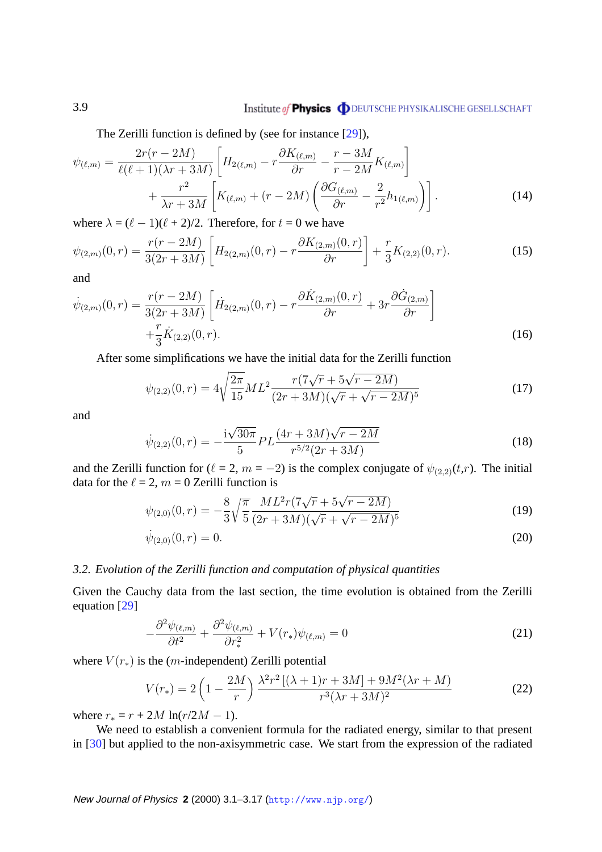The Zerilli function is defined by (see for instance [\[29](#page-18-0)]),

$$
\psi_{(\ell,m)} = \frac{2r(r-2M)}{\ell(\ell+1)(\lambda r+3M)} \left[ H_{2(\ell,m)} - r \frac{\partial K_{(\ell,m)}}{\partial r} - \frac{r-3M}{r-2M} K_{(\ell,m)} \right] + \frac{r^2}{\lambda r+3M} \left[ K_{(\ell,m)} + (r-2M) \left( \frac{\partial G_{(\ell,m)}}{\partial r} - \frac{2}{r^2} h_{1(\ell,m)} \right) \right].
$$
\n(14)

where  $\lambda = (\ell - 1)(\ell + 2)/2$ . Therefore, for  $t = 0$  we have

$$
\psi_{(2,m)}(0,r) = \frac{r(r-2M)}{3(2r+3M)} \left[ H_{2(2,m)}(0,r) - r \frac{\partial K_{(2,m)}(0,r)}{\partial r} \right] + \frac{r}{3} K_{(2,2)}(0,r). \tag{15}
$$

and

$$
\dot{\psi}_{(2,m)}(0,r) = \frac{r(r-2M)}{3(2r+3M)} \left[ \dot{H}_{2(2,m)}(0,r) - r \frac{\partial \dot{K}_{(2,m)}(0,r)}{\partial r} + 3r \frac{\partial \dot{G}_{(2,m)}}{\partial r} \right] + \frac{r}{3} \dot{K}_{(2,2)}(0,r).
$$
\n(16)

After some simplifications we have the initial data for the Zerilli function

$$
\psi_{(2,2)}(0,r) = 4\sqrt{\frac{2\pi}{15}}ML^2 \frac{r(7\sqrt{r} + 5\sqrt{r - 2M})}{(2r + 3M)(\sqrt{r} + \sqrt{r - 2M})^5}
$$
(17)

and

$$
\dot{\psi}_{(2,2)}(0,r) = -\frac{i\sqrt{30\pi}}{5}PL\frac{(4r+3M)\sqrt{r-2M}}{r^{5/2}(2r+3M)}
$$
\n(18)

and the Zerilli function for  $(\ell = 2, m = -2)$  is the complex conjugate of  $\psi_{(2,2)}(t,r)$ . The initial data for the  $\ell = 2$ ,  $m = 0$  Zerilli function is

$$
\psi_{(2,0)}(0,r) = -\frac{8}{3} \sqrt{\frac{\pi}{5}} \frac{ML^2r(7\sqrt{r} + 5\sqrt{r - 2M})}{(2r + 3M)(\sqrt{r} + \sqrt{r - 2M})^5}
$$
(19)

$$
\dot{\psi}_{(2,0)}(0,r) = 0. \tag{20}
$$

#### *3.2. Evolution of the Zerilli function and computation of physical quantities*

Given the Cauchy data from the last section, the time evolution is obtained from the Zerilli equation [\[29](#page-18-0)]

$$
-\frac{\partial^2 \psi_{(\ell,m)}}{\partial t^2} + \frac{\partial^2 \psi_{(\ell,m)}}{\partial r_*^2} + V(r_*)\psi_{(\ell,m)} = 0
$$
\n(21)

where  $V(r_*)$  is the (m-independent) Zerilli potential

$$
V(r_{*}) = 2\left(1 - \frac{2M}{r}\right) \frac{\lambda^{2} r^{2} \left[ (\lambda + 1)r + 3M \right] + 9M^{2}(\lambda r + M)}{r^{3}(\lambda r + 3M)^{2}}
$$
(22)

where  $r_* = r + 2M \ln(r/2M - 1)$ .

We need to establish a convenient formula for the radiated energy, similar to that present in [[30\]](#page-18-0) but applied to the non-axisymmetric case. We start from the expression of the radiated

New Journal of Physics **2** (2000) 3.1–3.17 (<http://www.njp.org/>)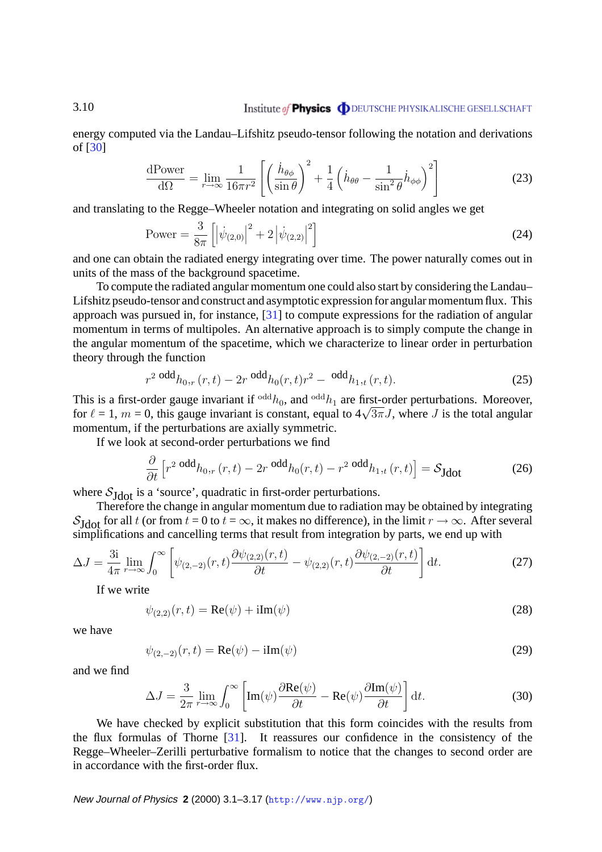energy computed via the Landau–Lifshitz pseudo-tensor following the notation and derivations of [[30\]](#page-18-0)

$$
\frac{\text{dPower}}{\text{d}\Omega} = \lim_{r \to \infty} \frac{1}{16\pi r^2} \left[ \left( \frac{\dot{h}_{\theta\phi}}{\sin \theta} \right)^2 + \frac{1}{4} \left( \dot{h}_{\theta\theta} - \frac{1}{\sin^2 \theta} \dot{h}_{\phi\phi} \right)^2 \right]
$$
(23)

and translating to the Regge–Wheeler notation and integrating on solid angles we get

Power = 
$$
\frac{3}{8\pi} \left[ \left| \dot{\psi}_{(2,0)} \right|^2 + 2 \left| \dot{\psi}_{(2,2)} \right|^2 \right]
$$
 (24)

and one can obtain the radiated energy integrating over time. The power naturally comes out in units of the mass of the background spacetime.

To compute the radiated angular momentum one could also start by considering the Landau– Lifshitz pseudo-tensor and construct and asymptotic expression for angular momentum flux. This approach was pursued in, for instance, [[31\]](#page-18-0) to compute expressions for the radiation of angular momentum in terms of multipoles. An alternative approach is to simply compute the change in the angular momentum of the spacetime, which we characterize to linear order in perturbation theory through the function

$$
r^{2} \operatorname{odd} h_{0,r}(r,t) - 2r \operatorname{odd} h_{0}(r,t)r^{2} - \operatorname{odd} h_{1,t}(r,t). \tag{25}
$$

This is a first-order gauge invariant if  $\text{odd } h_0$ , and  $\text{odd } h_1$  are first-order perturbations. Moreover, for  $\ell = 1$ ,  $m = 0$ , this gauge invariant is constant, equal to  $4\sqrt{3\pi}J$ , where J is the total angular momentum, if the perturbations are axially symmetric.

If we look at second-order perturbations we find

$$
\frac{\partial}{\partial t} \left[ r^2 \, \text{odd}_{h_{0},r} \left( r,t \right) - 2r \, \text{odd}_{h_0}(r,t) - r^2 \, \text{odd}_{h_{1},t} \left( r,t \right) \right] = \mathcal{S}_{\text{Jdot}} \tag{26}
$$

where  $S_{Jdot}$  is a 'source', quadratic in first-order perturbations.

Therefore the change in angular momentum due to radiation may be obtained by integrating  $S_{\text{Idot}}$  for all t (or from  $t = 0$  to  $t = \infty$ , it makes no difference), in the limit  $r \to \infty$ . After several simplifications and cancelling terms that result from integration by parts, we end up with

$$
\Delta J = \frac{3i}{4\pi} \lim_{r \to \infty} \int_0^\infty \left[ \psi_{(2,-2)}(r,t) \frac{\partial \psi_{(2,2)}(r,t)}{\partial t} - \psi_{(2,2)}(r,t) \frac{\partial \psi_{(2,-2)}(r,t)}{\partial t} \right] dt.
$$
 (27)

If we write

$$
\psi_{(2,2)}(r,t) = \text{Re}(\psi) + i\text{Im}(\psi) \tag{28}
$$

we have

$$
\psi_{(2,-2)}(r,t) = \text{Re}(\psi) - i\text{Im}(\psi) \tag{29}
$$

and we find

$$
\Delta J = \frac{3}{2\pi} \lim_{r \to \infty} \int_0^\infty \left[ \text{Im}(\psi) \frac{\partial \text{Re}(\psi)}{\partial t} - \text{Re}(\psi) \frac{\partial \text{Im}(\psi)}{\partial t} \right] dt. \tag{30}
$$

We have checked by explicit substitution that this form coincides with the results from the flux formulas of Thorne [\[31](#page-18-0)]. It reassures our confidence in the consistency of the Regge–Wheeler–Zerilli perturbative formalism to notice that the changes to second order are in accordance with the first-order flux.

New Journal of Physics **2** (2000) 3.1–3.17 (<http://www.njp.org/>)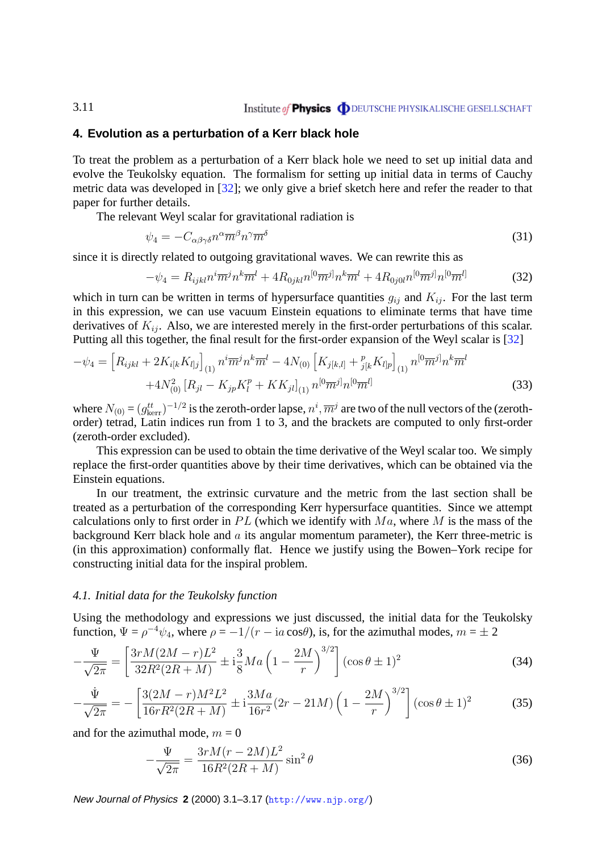#### **4. Evolution as a perturbation of a Kerr black hole**

To treat the problem as a perturbation of a Kerr black hole we need to set up initial data and evolve the Teukolsky equation. The formalism for setting up initial data in terms of Cauchy metric data was developed in [\[32](#page-18-0)]; we only give a brief sketch here and refer the reader to that paper for further details.

The relevant Weyl scalar for gravitational radiation is

$$
\psi_4 = -C_{\alpha\beta\gamma\delta}n^{\alpha}\overline{m}^{\beta}n^{\gamma}\overline{m}^{\delta} \tag{31}
$$

since it is directly related to outgoing gravitational waves. We can rewrite this as

$$
-\psi_4 = R_{ijkl} n^i \overline{m}^j n^k \overline{m}^l + 4R_{0jkl} n^{[0} \overline{m}^j] n^k \overline{m}^l + 4R_{0j0l} n^{[0} \overline{m}^j] n^{[0} \overline{m}^l \tag{32}
$$

which in turn can be written in terms of hypersurface quantities  $g_{ij}$  and  $K_{ij}$ . For the last term in this expression, we can use vacuum Einstein equations to eliminate terms that have time derivatives of  $K_{ij}$ . Also, we are interested merely in the first-order perturbations of this scalar. Putting all this together, the final result for the first-order expansion of the Weyl scalar is [[32](#page-18-0)]

$$
-\psi_4 = \left[R_{ijkl} + 2K_{i[k}K_{l]j}\right]_{(1)} n^i \overline{m}^j n^k \overline{m}^l - 4N_{(0)} \left[K_{j[k,l]} + \frac{p}{j[k]} K_{l]p}\right]_{(1)} n^{[0} \overline{m}^j] n^k \overline{m}^l
$$

$$
+ 4N_{(0)}^2 \left[R_{jl} - K_{jp}K_l^p + KK_{jl}\right]_{(1)} n^{[0} \overline{m}^j] n^{[0} \overline{m}^l]
$$
(33)

where  $N_{(0)} = (g_{\text{kerr}}^{tt})^{-1/2}$  is the zeroth-order lapse,  $n^i$ ,  $\overline{m}^j$  are two of the null vectors of the (zerothorder) tetrad, Latin indices run from 1 to 3, and the brackets are computed to only first-order (zeroth-order excluded).

This expression can be used to obtain the time derivative of the Weyl scalar too. We simply replace the first-order quantities above by their time derivatives, which can be obtained via the Einstein equations.

In our treatment, the extrinsic curvature and the metric from the last section shall be treated as a perturbation of the corresponding Kerr hypersurface quantities. Since we attempt calculations only to first order in  $PL$  (which we identify with  $Ma$ , where M is the mass of the background Kerr black hole and  $a$  its angular momentum parameter), the Kerr three-metric is (in this approximation) conformally flat. Hence we justify using the Bowen–York recipe for constructing initial data for the inspiral problem.

#### *4.1. Initial data for the Teukolsky function*

Using the methodology and expressions we just discussed, the initial data for the Teukolsky function,  $\Psi = \rho^{-4}\psi_4$ , where  $\rho = -1/(r - i a \cos\theta)$ , is, for the azimuthal modes,  $m = \pm 2$ 

$$
-\frac{\Psi}{\sqrt{2\pi}} = \left[\frac{3rM(2M-r)L^2}{32R^2(2R+M)} \pm i\frac{3}{8}Ma\left(1 - \frac{2M}{r}\right)^{3/2}\right](\cos\theta \pm 1)^2\tag{34}
$$

$$
-\frac{\dot{\Psi}}{\sqrt{2\pi}} = -\left[\frac{3(2M-r)M^2L^2}{16rR^2(2R+M)} \pm i\frac{3Ma}{16r^2}(2r-21M)\left(1-\frac{2M}{r}\right)^{3/2}\right](\cos\theta \pm 1)^2\tag{35}
$$

and for the azimuthal mode,  $m = 0$ 

$$
-\frac{\Psi}{\sqrt{2\pi}} = \frac{3rM(r - 2M)L^2}{16R^2(2R + M)}\sin^2\theta
$$
\n(36)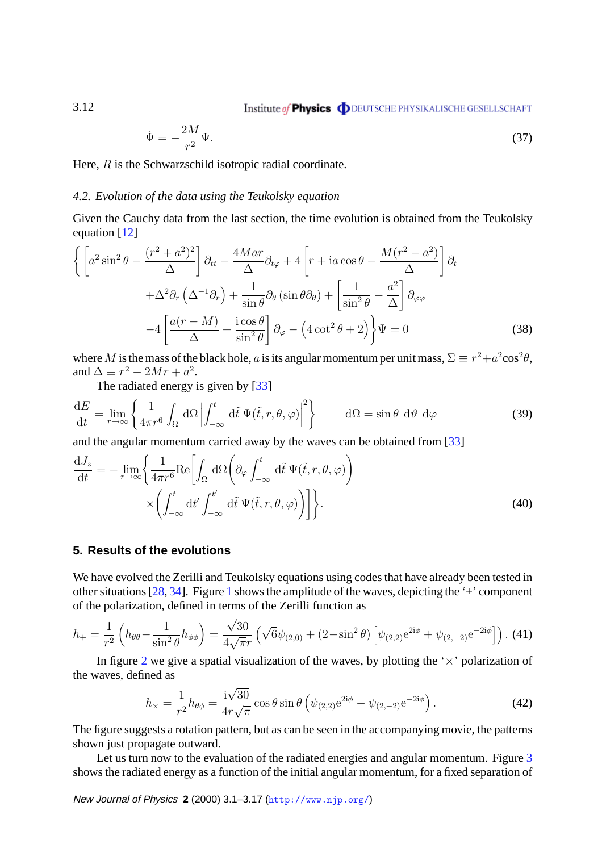$$
\dot{\Psi} = -\frac{2M}{r^2}\Psi.
$$
\n(37)

Here,  $R$  is the Schwarzschild isotropic radial coordinate.

#### *4.2. Evolution of the data using the Teukolsky equation*

Given the Cauchy data from the last section, the time evolution is obtained from the Teukolsky equation [\[12](#page-18-0)]

$$
\left\{ \left[ a^2 \sin^2 \theta - \frac{(r^2 + a^2)^2}{\Delta} \right] \partial_{tt} - \frac{4Mar}{\Delta} \partial_{t\varphi} + 4 \left[ r + i a \cos \theta - \frac{M(r^2 - a^2)}{\Delta} \right] \partial_t \right\}
$$

$$
+ \Delta^2 \partial_r \left( \Delta^{-1} \partial_r \right) + \frac{1}{\sin \theta} \partial_{\theta} \left( \sin \theta \partial_{\theta} \right) + \left[ \frac{1}{\sin^2 \theta} - \frac{a^2}{\Delta} \right] \partial_{\varphi \varphi}
$$

$$
-4 \left[ \frac{a(r - M)}{\Delta} + \frac{i \cos \theta}{\sin^2 \theta} \right] \partial_{\varphi} - \left( 4 \cot^2 \theta + 2 \right) \right\} \Psi = 0 \tag{38}
$$

where M is the mass of the black hole, a is its angular momentum per unit mass,  $\Sigma \equiv r^2 + a^2 \cos^2 \theta$ , and  $\Delta \equiv r^2 - 2Mr + a^2$ .

The radiated energy is given by [[33\]](#page-18-0)

$$
\frac{\mathrm{d}E}{\mathrm{d}t} = \lim_{r \to \infty} \left\{ \frac{1}{4\pi r^6} \int_{\Omega} d\Omega \left| \int_{-\infty}^{t} d\tilde{t} \Psi(\tilde{t}, r, \theta, \varphi) \right|^2 \right\} \qquad \mathrm{d}\Omega = \sin \theta \ \mathrm{d}\vartheta \ \mathrm{d}\varphi \tag{39}
$$

and the angular momentum carried away by the waves can be obtained from [\[33](#page-18-0)]

$$
\frac{\mathrm{d}J_z}{\mathrm{d}t} = -\lim_{r \to \infty} \left\{ \frac{1}{4\pi r^6} \mathrm{Re} \left[ \int_{\Omega} \mathrm{d}\Omega \left( \partial_{\varphi} \int_{-\infty}^t \mathrm{d}\tilde{t} \, \Psi(\tilde{t}, r, \theta, \varphi) \right) \right. \\ \times \left( \int_{-\infty}^t \mathrm{d}t' \int_{-\infty}^{t'} \mathrm{d}\tilde{t} \, \overline{\Psi}(\tilde{t}, r, \theta, \varphi) \right) \right] \bigg\} . \tag{40}
$$

#### **5. Results of the evolutions**

We have evolved the Zerilli and Teukolsky equations using codes that have already been tested in other situations [[28](#page-18-0), [34](#page-18-0)]. Figure [1](#page-14-0) shows the amplitude of the waves, depicting the '+' component of the polarization, defined in terms of the Zerilli function as

$$
h_{+} = \frac{1}{r^{2}} \left( h_{\theta\theta} - \frac{1}{\sin^{2}\theta} h_{\phi\phi} \right) = \frac{\sqrt{30}}{4\sqrt{\pi}r} \left( \sqrt{6}\psi_{(2,0)} + (2-\sin^{2}\theta) \left[ \psi_{(2,2)}e^{2i\phi} + \psi_{(2,-2)}e^{-2i\phi} \right] \right). (41)
$$

In figure [2](#page-14-0) we give a spatial visualization of the waves, by plotting the '*×*' polarization of the waves, defined as

$$
h_{\times} = \frac{1}{r^2} h_{\theta\phi} = \frac{i\sqrt{30}}{4r\sqrt{\pi}} \cos\theta \sin\theta \left(\psi_{(2,2)}e^{2i\phi} - \psi_{(2,-2)}e^{-2i\phi}\right). \tag{42}
$$

The figure suggests a rotation pattern, but as can be seen in the accompanying movie, the patterns shown just propagate outward.

Let us turn now to the evaluation of the radiated energies and angular momentum. Figure [3](#page-15-0) shows the radiated energy as a function of the initial angular momentum, for a fixed separation of

New Journal of Physics **2** (2000) 3.1–3.17 (<http://www.njp.org/>)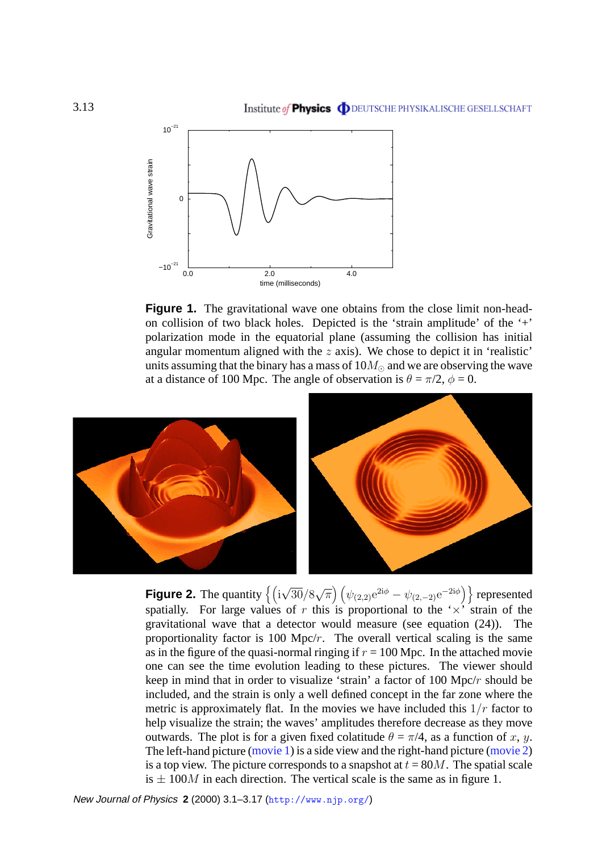<span id="page-14-0"></span>

**Figure 1.** The gravitational wave one obtains from the close limit non-headon collision of two black holes. Depicted is the 'strain amplitude' of the '+' polarization mode in the equatorial plane (assuming the collision has initial angular momentum aligned with the  $z$  axis). We chose to depict it in 'realistic' units assuming that the binary has a mass of  $10M_{\odot}$  and we are observing the wave at a distance of 100 Mpc. The angle of observation is  $\theta = \pi/2$ ,  $\phi = 0$ .



**Figure 2.** The quantity  $\left\{ \left( i\sqrt{30}/8\sqrt{\pi} \right) \left( \psi_{(2,2)}e^{2i\phi} - \psi_{(2,-2)}e^{-2i\phi} \right) \right\}$  represented spatially. For large values of r this is proportional to the  $\forall$  strain of the gravitational wave that a detector would measure (see equation (24)). The proportionality factor is 100 Mpc/ $r$ . The overall vertical scaling is the same as in the figure of the quasi-normal ringing if  $r = 100$  Mpc. In the attached movie one can see the time evolution leading to these pictures. The viewer should keep in mind that in order to visualize 'strain' a factor of 100 Mpc/r should be included, and the strain is only a well defined concept in the far zone where the metric is approximately flat. In the movies we have included this  $1/r$  factor to help visualize the strain; the waves' amplitudes therefore decrease as they move outwards. The plot is for a given fixed colatitude  $\theta = \pi/4$ , as a function of x, y. The left-hand picture [\(movie 1](http://www.iop.org/EJ/redirect/S/mmedia/1367-2630/2/1/303/side.avi)) is a side view and the right-hand picture [\(movie 2](http://www.iop.org/EJ/redirect/S/mmedia/1367-2630/2/1/303/top.avi)) is a top view. The picture corresponds to a snapshot at  $t = 80M$ . The spatial scale is  $\pm 100M$  in each direction. The vertical scale is the same as in figure 1.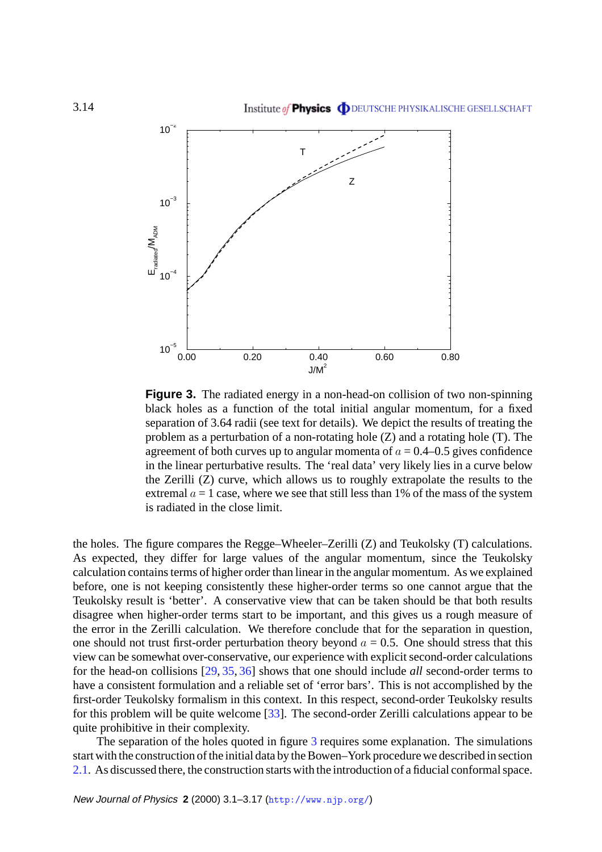<span id="page-15-0"></span>

**Figure 3.** The radiated energy in a non-head-on collision of two non-spinning black holes as a function of the total initial angular momentum, for a fixed separation of 3.64 radii (see text for details). We depict the results of treating the problem as a perturbation of a non-rotating hole (Z) and a rotating hole (T). The agreement of both curves up to angular momenta of  $a = 0.4 - 0.5$  gives confidence in the linear perturbative results. The 'real data' very likely lies in a curve below the Zerilli (Z) curve, which allows us to roughly extrapolate the results to the extremal  $a = 1$  case, where we see that still less than 1% of the mass of the system is radiated in the close limit.

the holes. The figure compares the Regge–Wheeler–Zerilli (Z) and Teukolsky (T) calculations. As expected, they differ for large values of the angular momentum, since the Teukolsky calculation contains terms of higher order than linear in the angular momentum. As we explained before, one is not keeping consistently these higher-order terms so one cannot argue that the Teukolsky result is 'better'. A conservative view that can be taken should be that both results disagree when higher-order terms start to be important, and this gives us a rough measure of the error in the Zerilli calculation. We therefore conclude that for the separation in question, one should not trust first-order perturbation theory beyond  $a = 0.5$ . One should stress that this view can be somewhat over-conservative, our experience with explicit second-order calculations for the head-on collisions [[29,](#page-18-0) [35,](#page-18-0) [36\]](#page-18-0) shows that one should include *all* second-order terms to have a consistent formulation and a reliable set of 'error bars'. This is not accomplished by the first-order Teukolsky formalism in this context. In this respect, second-order Teukolsky results for this problem will be quite welcome [[33\]](#page-18-0). The second-order Zerilli calculations appear to be quite prohibitive in their complexity.

The separation of the holes quoted in figure 3 requires some explanation. The simulations start with the construction of the initial data by the Bowen–York procedure we described in section [2.1.](#page-6-0) As discussed there, the construction starts with the introduction of a fiducial conformal space.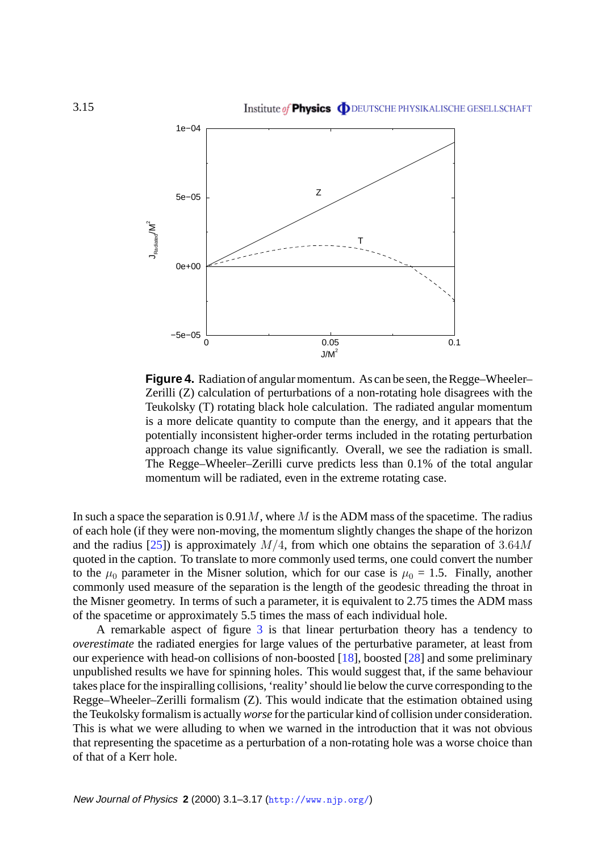<span id="page-16-0"></span>

**Figure 4.** Radiation of angular momentum. As can be seen, the Regge–Wheeler– Zerilli (Z) calculation of perturbations of a non-rotating hole disagrees with the Teukolsky (T) rotating black hole calculation. The radiated angular momentum is a more delicate quantity to compute than the energy, and it appears that the potentially inconsistent higher-order terms included in the rotating perturbation approach change its value significantly. Overall, we see the radiation is small. The Regge–Wheeler–Zerilli curve predicts less than 0.1% of the total angular momentum will be radiated, even in the extreme rotating case.

In such a space the separation is  $0.91M$ , where M is the ADM mass of the spacetime. The radius of each hole (if they were non-moving, the momentum slightly changes the shape of the horizon and the radius [[25\]](#page-18-0)) is approximately  $M/4$ , from which one obtains the separation of 3.64 $M$ quoted in the caption. To translate to more commonly used terms, one could convert the number to the  $\mu_0$  parameter in the Misner solution, which for our case is  $\mu_0 = 1.5$ . Finally, another commonly used measure of the separation is the length of the geodesic threading the throat in the Misner geometry. In terms of such a parameter, it is equivalent to 2.75 times the ADM mass of the spacetime or approximately 5.5 times the mass of each individual hole.

A remarkable aspect of figure [3](#page-15-0) is that linear perturbation theory has a tendency to *overestimate* the radiated energies for large values of the perturbative parameter, at least from our experience with head-on collisions of non-boosted [[18\]](#page-18-0), boosted [[28\]](#page-18-0) and some preliminary unpublished results we have for spinning holes. This would suggest that, if the same behaviour takes place for the inspiralling collisions, 'reality' should lie below the curve corresponding to the Regge–Wheeler–Zerilli formalism (Z). This would indicate that the estimation obtained using the Teukolsky formalism is actually*worse* for the particular kind of collision under consideration. This is what we were alluding to when we warned in the introduction that it was not obvious that representing the spacetime as a perturbation of a non-rotating hole was a worse choice than of that of a Kerr hole.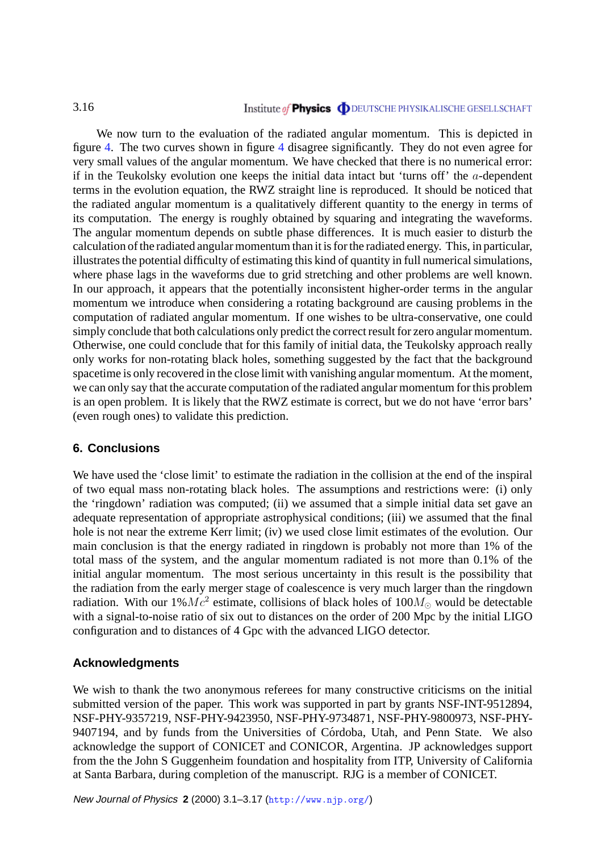3.16

#### Institute of Physics **ODEUTSCHE PHYSIKALISCHE GESELLSCHAFT**

We now turn to the evaluation of the radiated angular momentum. This is depicted in figure [4](#page-16-0). The two curves shown in figure [4](#page-16-0) disagree significantly. They do not even agree for very small values of the angular momentum. We have checked that there is no numerical error: if in the Teukolsky evolution one keeps the initial data intact but 'turns off' the  $a$ -dependent terms in the evolution equation, the RWZ straight line is reproduced. It should be noticed that the radiated angular momentum is a qualitatively different quantity to the energy in terms of its computation. The energy is roughly obtained by squaring and integrating the waveforms. The angular momentum depends on subtle phase differences. It is much easier to disturb the calculation of the radiated angular momentum than it is for the radiated energy. This, in particular, illustrates the potential difficulty of estimating this kind of quantity in full numerical simulations, where phase lags in the waveforms due to grid stretching and other problems are well known. In our approach, it appears that the potentially inconsistent higher-order terms in the angular momentum we introduce when considering a rotating background are causing problems in the computation of radiated angular momentum. If one wishes to be ultra-conservative, one could simply conclude that both calculations only predict the correct result for zero angular momentum. Otherwise, one could conclude that for this family of initial data, the Teukolsky approach really only works for non-rotating black holes, something suggested by the fact that the background spacetime is only recovered in the close limit with vanishing angular momentum. At the moment, we can only say that the accurate computation of the radiated angular momentum for this problem is an open problem. It is likely that the RWZ estimate is correct, but we do not have 'error bars' (even rough ones) to validate this prediction.

#### **6. Conclusions**

We have used the 'close limit' to estimate the radiation in the collision at the end of the inspiral of two equal mass non-rotating black holes. The assumptions and restrictions were: (i) only the 'ringdown' radiation was computed; (ii) we assumed that a simple initial data set gave an adequate representation of appropriate astrophysical conditions; (iii) we assumed that the final hole is not near the extreme Kerr limit; (iv) we used close limit estimates of the evolution. Our main conclusion is that the energy radiated in ringdown is probably not more than 1% of the total mass of the system, and the angular momentum radiated is not more than 0.1% of the initial angular momentum. The most serious uncertainty in this result is the possibility that the radiation from the early merger stage of coalescence is very much larger than the ringdown radiation. With our 1% $\dot{Mc}^2$  estimate, collisions of black holes of 100 $M_{\odot}$  would be detectable with a signal-to-noise ratio of six out to distances on the order of 200 Mpc by the initial LIGO configuration and to distances of 4 Gpc with the advanced LIGO detector.

### **Acknowledgments**

We wish to thank the two anonymous referees for many constructive criticisms on the initial submitted version of the paper. This work was supported in part by grants NSF-INT-9512894, NSF-PHY-9357219, NSF-PHY-9423950, NSF-PHY-9734871, NSF-PHY-9800973, NSF-PHY-9407194, and by funds from the Universities of Córdoba, Utah, and Penn State. We also acknowledge the support of CONICET and CONICOR, Argentina. JP acknowledges support from the the John S Guggenheim foundation and hospitality from ITP, University of California at Santa Barbara, during completion of the manuscript. RJG is a member of CONICET.